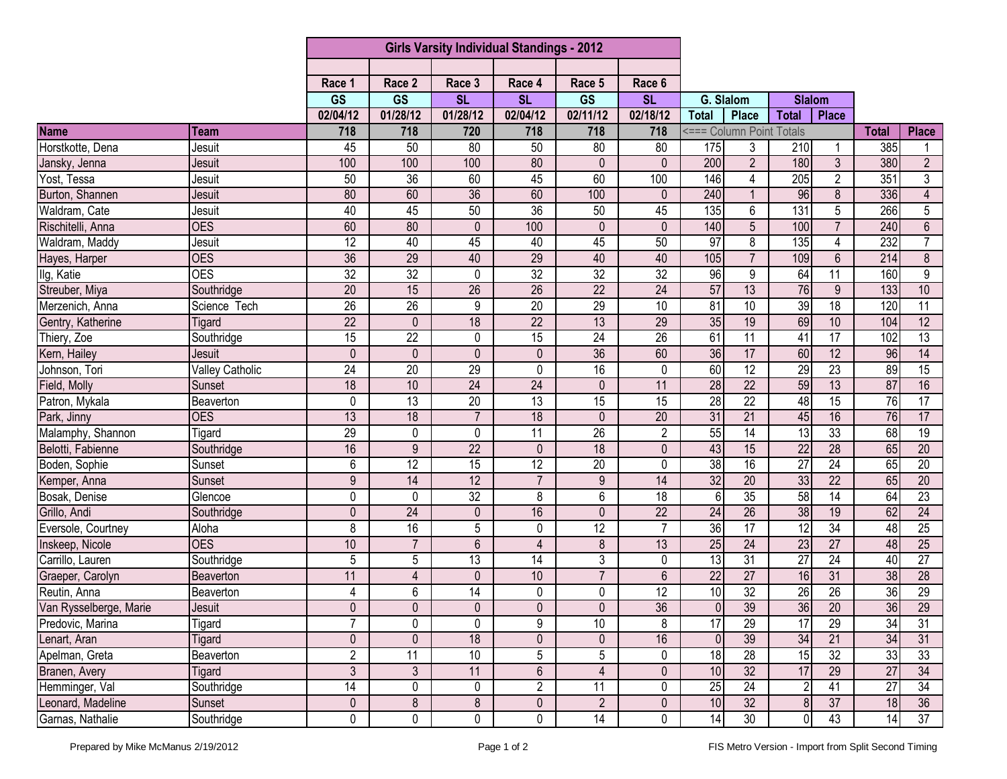|                                 |                        | <b>Girls Varsity Individual Standings - 2012</b> |                 |                 |                 |                 |                 |                  |                          |                 |                 |               |                 |
|---------------------------------|------------------------|--------------------------------------------------|-----------------|-----------------|-----------------|-----------------|-----------------|------------------|--------------------------|-----------------|-----------------|---------------|-----------------|
|                                 |                        |                                                  |                 |                 |                 |                 |                 |                  |                          |                 |                 |               |                 |
|                                 |                        | Race 1                                           | Race 2          | Race 3          | Race 4          | Race 5          | Race 6          |                  |                          |                 |                 |               |                 |
|                                 |                        | <b>GS</b>                                        | GS              | <b>SL</b>       | <b>SL</b>       | <b>GS</b>       | <b>SL</b>       | G. Slalom        |                          | <b>Slalom</b>   |                 |               |                 |
|                                 |                        | 02/04/12                                         | 01/28/12        | 01/28/12        | 02/04/12        | 02/11/12        | 02/18/12        | <b>Total</b>     | Place                    | <b>Total</b>    | <b>Place</b>    |               |                 |
| <b>Name</b>                     | Team                   | 718                                              | 718             | 720             | 718             | 718             | 718             |                  | <=== Column Point Totals |                 |                 | <b>Total</b>  | <b>Place</b>    |
| Horstkotte, Dena                | Jesuit                 | 45                                               | 50              | 80              | 50              | 80              | 80              | 175              | 3                        | 210             |                 | 385           | 1               |
| Jansky, Jenna                   | Jesuit                 | 100                                              | 100             | 100             | 80              | $\mathbf{0}$    | $\Omega$        | 200              | $\overline{2}$           | 180             | $\overline{3}$  | 380           | $\overline{2}$  |
| Yost, Tessa                     | Jesuit                 | 50                                               | $\overline{36}$ | 60              | 45              | 60              | 100             | 146              | 4                        | 205             | $\overline{2}$  | 351           | 3               |
| Burton, Shannen                 | Jesuit                 | 80                                               | 60              | 36              | 60              | 100             | $\mathbf{0}$    | 240              |                          | 96              | 8               | 336           | 4               |
| Waldram, Cate                   | Jesuit                 | 40                                               | 45              | 50              | 36              | 50              | 45              | 135              | 6                        | 131             | $\overline{5}$  | 266           | $5\phantom{.0}$ |
| Rischitelli, Anna               | <b>OES</b>             | 60                                               | 80              | $\mathbf 0$     | 100             | $\mathbf{0}$    | $\mathbf{0}$    | 140              | 5                        | 100             | $\overline{7}$  | 240           | $6\,$           |
| Waldram, Maddy                  | Jesuit                 | $\overline{12}$                                  | 40              | 45              | 40              | 45              | 50              | 97               | 8                        | 135             | 4               | 232           | $\overline{7}$  |
| Hayes, Harper                   | <b>OES</b>             | 36                                               | 29              | 40              | 29              | 40              | 40              | 105              | $\overline{7}$           | 109             | $\overline{6}$  | 214           | $\overline{8}$  |
| Ilg, Katie                      | <b>OES</b>             | $\overline{32}$                                  | $\overline{32}$ | 0               | $\overline{32}$ | 32              | $\overline{32}$ | 96               | 9                        | 64              | 11              | 160           | 9               |
| Streuber, Miya                  | Southridge             | $\overline{20}$                                  | 15              | $\overline{26}$ | $\overline{26}$ | $\overline{22}$ | $\overline{24}$ | 57               | 13                       | 76              | 9               | 133           | 10              |
| Merzenich, Anna                 | Science Tech           | 26                                               | 26              | 9               | 20              | 29              | 10              | 81               | 10                       | 39              | 18              | 120           | $\overline{11}$ |
| Gentry, Katherine               | Tigard                 | $\overline{22}$                                  | $\mathbf 0$     | 18              | $\overline{22}$ | 13              | 29              | 35               | 19                       | 69              | 10              | 104           | $\overline{12}$ |
| Thiery, Zoe                     | Southridge             | $\overline{15}$                                  | $\overline{22}$ | $\mathbf 0$     | 15              | $\overline{24}$ | 26              | 61               | 11                       | 41              | $\overline{17}$ | 102           | 13              |
| Kern, Hailey                    | <b>Jesuit</b>          | $\overline{0}$                                   | $\mathbf 0$     | $\mathbf 0$     | $\mathbf{0}$    | 36              | 60              | 36               | 17                       | 60              | 12              | 96            | 14              |
| Johnson, Tori                   | <b>Valley Catholic</b> | $\overline{24}$                                  | $\overline{20}$ | 29              | 0               | 16              | $\mathbf{0}$    | 60               | $\overline{12}$          | 29              | $\overline{23}$ | 89            | 15              |
| Field, Molly                    | Sunset                 | 18                                               | 10              | 24              | 24              | $\mathbf{0}$    | 11              | 28               | 22                       | 59              | 13              | 87            | 16              |
| Patron, Mykala                  | Beaverton              | 0                                                | 13              | 20              | $\overline{13}$ | $\overline{15}$ | $\overline{15}$ | 28               | $\overline{22}$          | 48              | 15              | 76            | $\overline{17}$ |
| Park, Jinny                     | <b>OES</b>             | 13                                               | 18              | $\overline{7}$  | $\overline{18}$ | $\mathbf{0}$    | $\overline{20}$ | 31               | $\overline{21}$          | 45              | 16              | 76            | 17              |
| Malamphy, Shannon               | Tigard                 | 29                                               | $\pmb{0}$       | 0               | 11              | $\overline{26}$ | $\overline{2}$  | 55               | 14                       | 13              | 33              | 68            | 19              |
| Belotti, Fabienne               | Southridge             | 16                                               | $\overline{9}$  | $\overline{22}$ | $\mathbf{0}$    | $\overline{18}$ | $\mathbf{0}$    | 43               | 15                       | $\overline{22}$ | $\overline{28}$ | 65            | $\overline{20}$ |
| Boden, Sophie                   | Sunset                 | 6                                                | $\overline{12}$ | $\overline{15}$ | $\overline{12}$ | $\overline{20}$ | 0               | $\overline{38}$  | 16                       | $\overline{27}$ | 24              | 65            | $\overline{20}$ |
| Kemper, Anna                    | Sunset                 | 9                                                | 14              | 12              | $\overline{7}$  | $9\,$           | 14              | 32               | $\overline{20}$          | 33              | $\overline{22}$ | 65            | $\overline{20}$ |
| Bosak, Denise                   | Glencoe                | 0                                                | 0               | 32              | 8               | $6\,$           | $\overline{18}$ | $6 \overline{6}$ | $\overline{35}$          | $\overline{58}$ | $\overline{14}$ | 64            | $\overline{23}$ |
| Grillo, Andi                    | Southridge             | $\mathbf 0$                                      | $\overline{24}$ | $\pmb{0}$       | 16              | $\mathbf{0}$    | $\overline{22}$ | 24               | $\overline{26}$          | 38              | 19              | 62            | $\overline{24}$ |
| Eversole, Courtney              | Aloha                  | 8                                                | 16              | 5               | $\mathbf 0$     | $\overline{12}$ | $\overline{7}$  | 36               | $\overline{17}$          | $\overline{12}$ | $\overline{34}$ | 48            | $\overline{25}$ |
| Inskeep, Nicole                 | <b>OES</b>             | 10                                               | $\overline{7}$  | 6               | 4               | 8               | 13              | 25               | 24                       | 23              | 27              | 48            | 25              |
| Carrillo, Lauren                | Southridge             | 5                                                | $5\phantom{.0}$ | 13              | 14              | 3               | $\mathbf{0}$    | 13               | 31                       | $\overline{27}$ | $\overline{24}$ | 40            | $\overline{27}$ |
| Graeper, Carolyn                | Beaverton              | 11                                               | $\overline{4}$  | $\mathbf 0$     | 10              | $\overline{7}$  | $6\phantom{1}$  | 22               | $\overline{27}$          | 16              | 31              | $\frac{3}{8}$ | $\overline{28}$ |
| Reutin, Anna                    | Beaverton              | 4                                                | 6               | 14              | 0               | 0               | $\overline{12}$ | $\overline{10}$  | $\overline{32}$          | $\overline{26}$ | $\overline{26}$ | 36            | 29              |
| Van Rysselberge, Marie          | Jesuit                 | $\pmb{0}$                                        | $\pmb{0}$       | $\mathbf 0$     | $\pmb{0}$       | $\pmb{0}$       | 36              | 0                | 39                       | 36              | 20              | 36            | $\overline{29}$ |
| Predovic, Marina                | Tigard                 | $\overline{7}$                                   | 0               | 0               | 9               | 10              | 8               | 17               | $\overline{29}$          | $\overline{17}$ | 29              | 34            | 31              |
| Lenart, Aran                    | Tigard                 | $\mathbf 0$                                      | $\mathbf 0$     | 18              | 0               | 0               | 16              | $\theta$         | 39                       | 34              | 21              | 34            | 31              |
|                                 | Beaverton              | $\overline{2}$                                   | $\overline{11}$ | 10              | 5               | 5               | $\pmb{0}$       | 18               | $\overline{28}$          | 15              | $\overline{32}$ | 33            | 33              |
| Apelman, Greta<br>Branen, Avery | Tigard                 | $\mathfrak{Z}$                                   | $\mathfrak{Z}$  | 11              | $6\,$           | $\overline{4}$  | $\pmb{0}$       | 10               | 32                       | 17              | 29              | 27            | 34              |
| Hemminger, Val                  | Southridge             | 14                                               | $\pmb{0}$       | 0               | $\overline{2}$  | 11              | 0               | 25               | 24                       | $\overline{2}$  | 41              | 27            | 34              |
| Leonard, Madeline               | Sunset                 | $\pmb{0}$                                        | $\infty$        | $\bf 8$         | $\pmb{0}$       | $\overline{2}$  | $\pmb{0}$       | 10               | 32                       | 8               | $\overline{37}$ | 18            | 36              |
| Garnas, Nathalie                | Southridge             | 0                                                | $\overline{0}$  | $\mathsf{0}$    | $\pmb{0}$       | $\overline{14}$ | 0               | 14               | $\overline{30}$          | $\overline{0}$  | 43              | 14            | 37              |